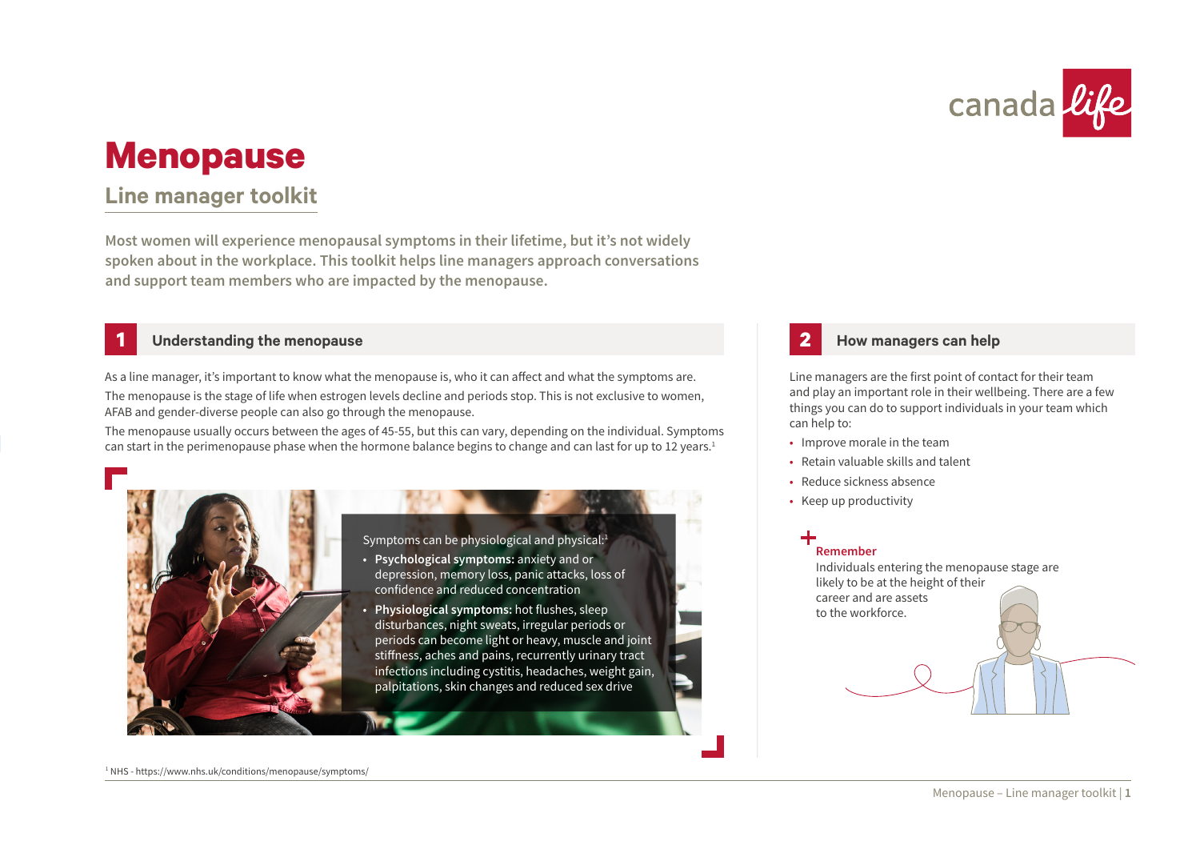

# **Menopause**

## **Line manager toolkit**

**Most women will experience menopausal symptoms in their lifetime, but it's not widely spoken about in the workplace. This toolkit helps line managers approach conversations and support team members who are impacted by the menopause.** 

### **1 Understanding the menopause**

As a line manager, it's important to know what the menopause is, who it can affect and what the symptoms are.

The menopause is the stage of life when estrogen levels decline and periods stop. This is not exclusive to women, AFAB and gender-diverse people can also go through the menopause.

The menopause usually occurs between the ages of 45-55, but this can vary, depending on the individual. Symptoms can start in the perimenopause phase when the hormone balance begins to change and can last for up to 12 years.<sup>1</sup>



Symptoms can be physiological and physical:<sup>1</sup>

- **Psychological symptoms:** anxiety and or depression, memory loss, panic attacks, loss of confidence and reduced concentration
- **Physiological symptoms:** hot flushes, sleep disturbances, night sweats, irregular periods or periods can become light or heavy, muscle and joint stiffness, aches and pains, recurrently urinary tract infections including cystitis, headaches, weight gain, palpitations, skin changes and reduced sex drive

### **2 How managers can help**

Line managers are the first point of contact for their team and play an important role in their wellbeing. There are a few things you can do to support individuals in your team which can help to:

- Improve morale in the team
- Retain valuable skills and talent
- Reduce sickness absence
- Keep up productivity

## **Remember**

Individuals entering the menopause stage are likely to be at the height of their career and are assets to the workforce.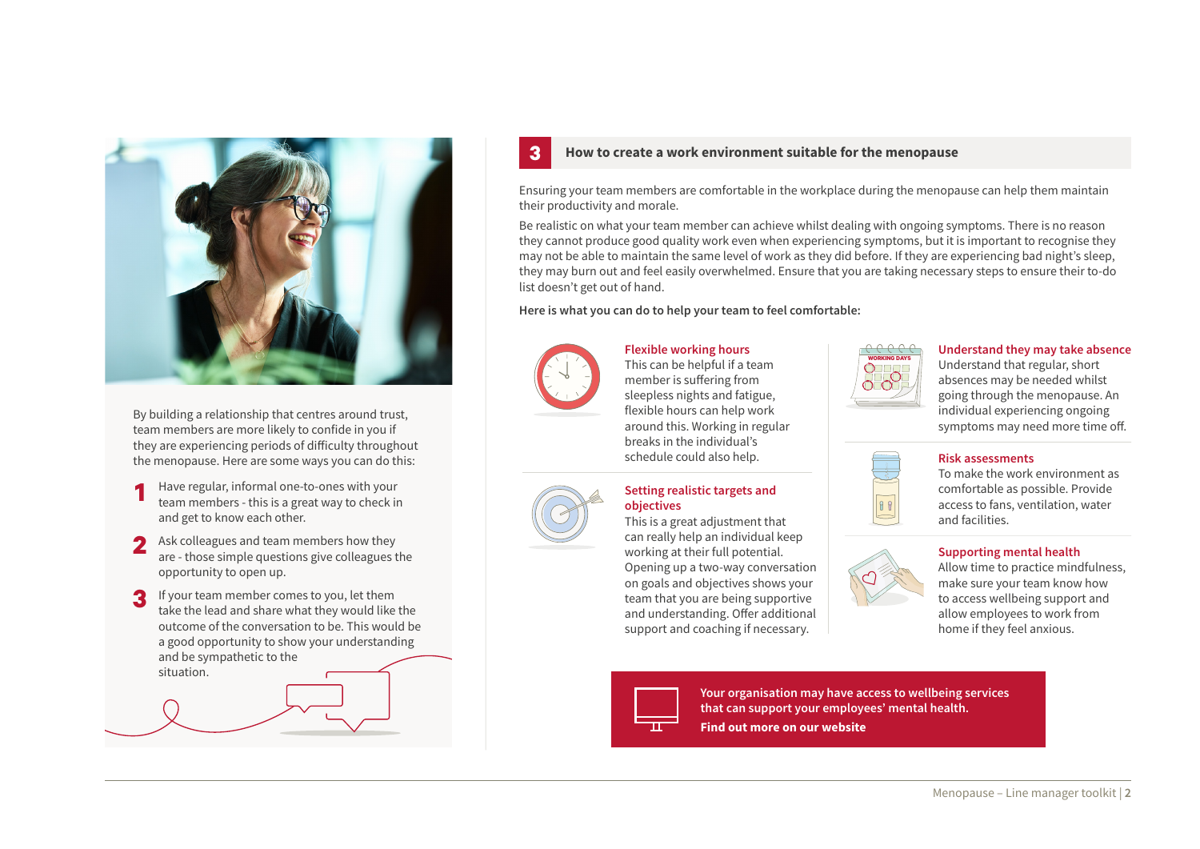

By building a relationship that centres around trust, team members are more likely to confide in you if t[he](https://www.youtube.com/watch?v=Y_TCMiY9jeU)y are experiencing periods of difficulty throughout the menopause. Here are some ways you can do this:

- **1** Have regular, informal one-to-ones with your team members - this is a great way to check in and get to know each other.
- **2** Ask colleagues and team members how they are - those simple questions give colleagues the opportunity to open up.
- **3** If your team member comes to you, let them take the lead and share what they would like the outcome of the conversation to be. This would be a good opportunity to show your understanding and be sympathetic to the situation.

#### **3 How to create a work environment suitable for the menopause**

Ensuring your team members are comfortable in the workplace during the menopause can help them maintain their productivity and morale.

Be realistic on what your team member can achieve whilst dealing with ongoing symptoms. There is no reason they cannot produce good quality work even when experiencing symptoms, but it is important to recognise they may not be able to maintain the same level of work as they did before. If they are experiencing bad night's sleep, they may burn out and feel easily overwhelmed. Ensure that you are taking necessary steps to ensure their to-do list doesn't get out of hand.

**Here is what you can do to help your team to feel comfortable:**



**Flexible working hours** This can be helpful if a team member is suffering from sleepless nights and fatigue, flexible hours can help work around this. Working in regular breaks in the individual's schedule could also help.

# **Setting realistic targets and**

**objectives** This is a great adjustment that can really help an individual keep working at their full potential. Opening up a two-way conversation on goals and objectives shows your team that you are being supportive and understanding. Offer additional

support and coaching if necessary.



#### **Understand they may take absence**

Understand that regular, short absences may be needed whilst going through the menopause. An individual experiencing ongoing symptoms may need more time off.



#### **Risk assessments**

To make the work environment as comfortable as possible. Provide access to fans, ventilation, water and facilities.

#### **Supporting mental health**

Allow time to practice mindfulness, make sure your team know how to access wellbeing support and allow employees to work from home if they feel anxious.



**[Your organisation may have access to wellbeing services](https://www.canadalife.co.uk/workplace-protection/support-services/)  that can support your employees' mental health.** 

**Find out more on our website**

Menopause – Line manager toolkit | **2**